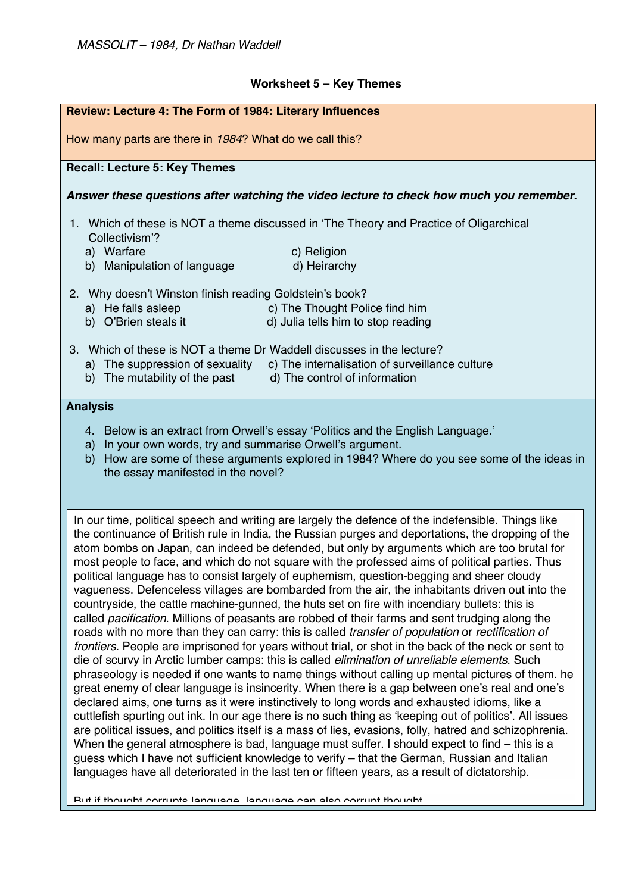## **Worksheet 5 – Key Themes**

| Review: Lecture 4: The Form of 1984: Literary Influences<br>How many parts are there in 1984? What do we call this?<br><b>Recall: Lecture 5: Key Themes</b><br>Answer these questions after watching the video lecture to check how much you remember. |                                                                                                                                                                                                                                                                                                                                                                                                                                                                                                                                                                                                                                                                                                                                                                                                                                                                                                                                                                                                                                                                                                                                                                                                                                                                                                                                                                                                                                                                                                                                                                                                                                                                          |                                                         |                                                                                        |
|--------------------------------------------------------------------------------------------------------------------------------------------------------------------------------------------------------------------------------------------------------|--------------------------------------------------------------------------------------------------------------------------------------------------------------------------------------------------------------------------------------------------------------------------------------------------------------------------------------------------------------------------------------------------------------------------------------------------------------------------------------------------------------------------------------------------------------------------------------------------------------------------------------------------------------------------------------------------------------------------------------------------------------------------------------------------------------------------------------------------------------------------------------------------------------------------------------------------------------------------------------------------------------------------------------------------------------------------------------------------------------------------------------------------------------------------------------------------------------------------------------------------------------------------------------------------------------------------------------------------------------------------------------------------------------------------------------------------------------------------------------------------------------------------------------------------------------------------------------------------------------------------------------------------------------------------|---------------------------------------------------------|----------------------------------------------------------------------------------------|
|                                                                                                                                                                                                                                                        |                                                                                                                                                                                                                                                                                                                                                                                                                                                                                                                                                                                                                                                                                                                                                                                                                                                                                                                                                                                                                                                                                                                                                                                                                                                                                                                                                                                                                                                                                                                                                                                                                                                                          | Collectivism'?                                          | 1. Which of these is NOT a theme discussed in 'The Theory and Practice of Oligarchical |
|                                                                                                                                                                                                                                                        |                                                                                                                                                                                                                                                                                                                                                                                                                                                                                                                                                                                                                                                                                                                                                                                                                                                                                                                                                                                                                                                                                                                                                                                                                                                                                                                                                                                                                                                                                                                                                                                                                                                                          | a) Warfare<br>b) Manipulation of language               | c) Religion<br>d) Heirarchy                                                            |
|                                                                                                                                                                                                                                                        |                                                                                                                                                                                                                                                                                                                                                                                                                                                                                                                                                                                                                                                                                                                                                                                                                                                                                                                                                                                                                                                                                                                                                                                                                                                                                                                                                                                                                                                                                                                                                                                                                                                                          | 2. Why doesn't Winston finish reading Goldstein's book? |                                                                                        |
| a) He falls asleep<br>b) O'Brien steals it                                                                                                                                                                                                             | c) The Thought Police find him<br>d) Julia tells him to stop reading                                                                                                                                                                                                                                                                                                                                                                                                                                                                                                                                                                                                                                                                                                                                                                                                                                                                                                                                                                                                                                                                                                                                                                                                                                                                                                                                                                                                                                                                                                                                                                                                     |                                                         |                                                                                        |
| 3. Which of these is NOT a theme Dr Waddell discusses in the lecture?<br>b) The mutability of the past                                                                                                                                                 | a) The suppression of sexuality $\ c)$ The internalisation of surveillance culture<br>d) The control of information                                                                                                                                                                                                                                                                                                                                                                                                                                                                                                                                                                                                                                                                                                                                                                                                                                                                                                                                                                                                                                                                                                                                                                                                                                                                                                                                                                                                                                                                                                                                                      |                                                         |                                                                                        |
| a) In your own words, try and summarise Orwell's argument.<br>b)<br>the essay manifested in the novel?                                                                                                                                                 | How are some of these arguments explored in 1984? Where do you see some of the ideas in                                                                                                                                                                                                                                                                                                                                                                                                                                                                                                                                                                                                                                                                                                                                                                                                                                                                                                                                                                                                                                                                                                                                                                                                                                                                                                                                                                                                                                                                                                                                                                                  |                                                         |                                                                                        |
|                                                                                                                                                                                                                                                        | In our time, political speech and writing are largely the defence of the indefensible. Things like<br>the continuance of British rule in India, the Russian purges and deportations, the dropping of the<br>atom bombs on Japan, can indeed be defended, but only by arguments which are too brutal for<br>most people to face, and which do not square with the professed aims of political parties. Thus<br>political language has to consist largely of euphemism, question-begging and sheer cloudy<br>vagueness. Defenceless villages are bombarded from the air, the inhabitants driven out into the<br>countryside, the cattle machine-gunned, the huts set on fire with incendiary bullets: this is<br>called <i>pacification</i> . Millions of peasants are robbed of their farms and sent trudging along the<br>roads with no more than they can carry: this is called transfer of population or rectification of<br>frontiers. People are imprisoned for years without trial, or shot in the back of the neck or sent to<br>die of scurvy in Arctic lumber camps: this is called <i>elimination of unreliable elements</i> . Such<br>phraseology is needed if one wants to name things without calling up mental pictures of them. he<br>great enemy of clear language is insincerity. When there is a gap between one's real and one's<br>declared aims, one turns as it were instinctively to long words and exhausted idioms, like a<br>cuttlefish spurting out ink. In our age there is no such thing as 'keeping out of politics'. All issues<br>are political issues, and politics itself is a mass of lies, evasions, folly, hatred and schizophrenia. |                                                         |                                                                                        |

But if thought corrupts language, language can also corrupt thought.

languages have all deteriorated in the last ten or fifteen years, as a result of dictatorship.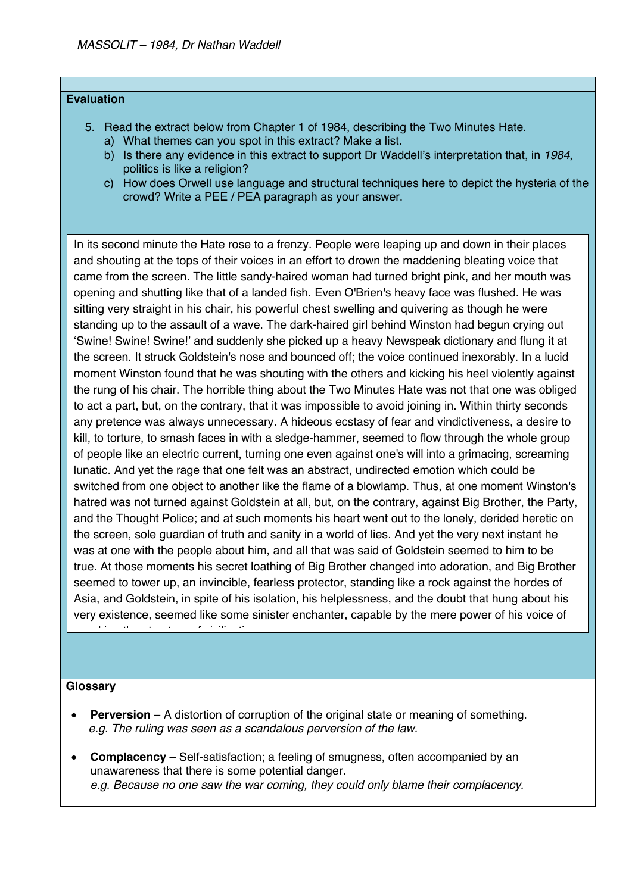## **Evaluation**

- 5. Read the extract below from Chapter 1 of 1984, describing the Two Minutes Hate. a) What themes can you spot in this extract? Make a list.
	- b) Is there any evidence in this extract to support Dr Waddell's interpretation that, in *1984*, politics is like a religion?
	- c) How does Orwell use language and structural techniques here to depict the hysteria of the crowd? Write a PEE / PEA paragraph as your answer.

In its second minute the Hate rose to a frenzy. People were leaping up and down in their places and shouting at the tops of their voices in an effort to drown the maddening bleating voice that came from the screen. The little sandy-haired woman had turned bright pink, and her mouth was opening and shutting like that of a landed fish. Even O'Brien's heavy face was flushed. He was sitting very straight in his chair, his powerful chest swelling and quivering as though he were standing up to the assault of a wave. The dark-haired girl behind Winston had begun crying out 'Swine! Swine! Swine!' and suddenly she picked up a heavy Newspeak dictionary and flung it at the screen. It struck Goldstein's nose and bounced off; the voice continued inexorably. In a lucid moment Winston found that he was shouting with the others and kicking his heel violently against the rung of his chair. The horrible thing about the Two Minutes Hate was not that one was obliged to act a part, but, on the contrary, that it was impossible to avoid joining in. Within thirty seconds any pretence was always unnecessary. A hideous ecstasy of fear and vindictiveness, a desire to kill, to torture, to smash faces in with a sledge-hammer, seemed to flow through the whole group of people like an electric current, turning one even against one's will into a grimacing, screaming lunatic. And yet the rage that one felt was an abstract, undirected emotion which could be switched from one object to another like the flame of a blowlamp. Thus, at one moment Winston's hatred was not turned against Goldstein at all, but, on the contrary, against Big Brother, the Party, and the Thought Police; and at such moments his heart went out to the lonely, derided heretic on the screen, sole guardian of truth and sanity in a world of lies. And yet the very next instant he was at one with the people about him, and all that was said of Goldstein seemed to him to be true. At those moments his secret loathing of Big Brother changed into adoration, and Big Brother seemed to tower up, an invincible, fearless protector, standing like a rock against the hordes of Asia, and Goldstein, in spite of his isolation, his helplessness, and the doubt that hung about his very existence, seemed like some sinister enchanter, capable by the mere power of his voice of

## **Glossary**

wrecking the structure of civilization of civilization. The structure of civilization of civilization.<br>The structure of civilization of civilization.

- **Perversion** A distortion of corruption of the original state or meaning of something. *e.g. The ruling was seen as a scandalous perversion of the law.*
- **Complacency** Self-satisfaction; a feeling of smugness, often accompanied by an unawareness that there is some potential danger. *e.g. Because no one saw the war coming, they could only blame their complacency.*